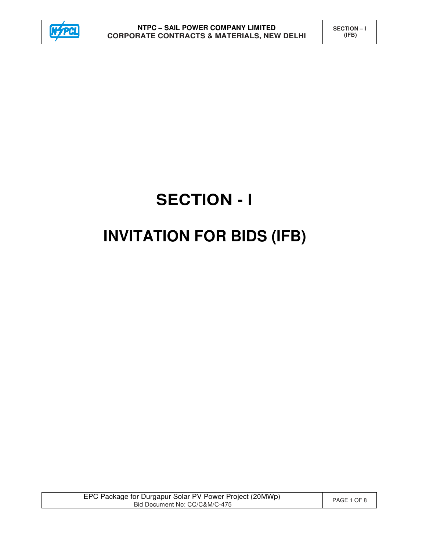

# **SECTION - I INVITATION FOR BIDS (IFB)**

EPC Package for Durgapur Solar PV Power Project (20MWp) or Durgapur Solar PV Power Project (2010)<br>Bid Document No: CC/C&M/C-475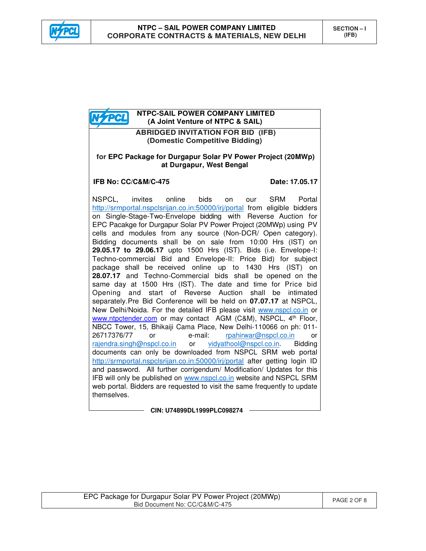



**CIN: U74899DL1999PLC098274**

| EPC Package for Durgapur Solar PV Power Project (20MWp) | PAGE 2 OF 8 |
|---------------------------------------------------------|-------------|
| Bid Document No: CC/C&M/C-475                           |             |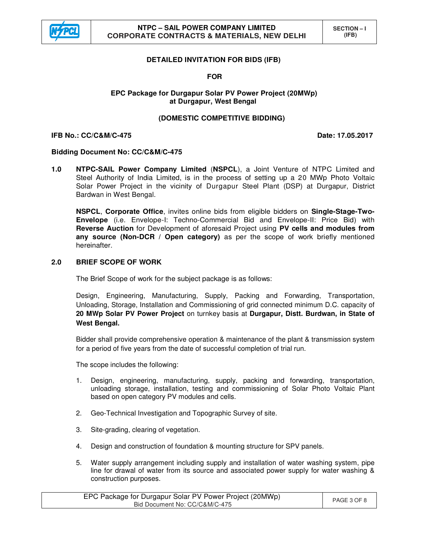

# **DETAILED INVITATION FOR BIDS (IFB)**

## **FOR**

## **EPC Package for Durgapur Solar PV Power Project (20MWp) at Durgapur, West Bengal**

## **(DOMESTIC COMPETITIVE BIDDING)**

#### **IFB No.: CC/C&M/C-475 Date: 17.05.2017**

## **Bidding Document No: CC/C&M/C-475**

**1.0 NTPC-SAIL Power Company Limited** (**NSPCL**), a Joint Venture of NTPC Limited and Steel Authority of India Limited, is in the process of setting up a 20 MWp Photo Voltaic Solar Power Project in the vicinity of Durgapur Steel Plant (DSP) at Durgapur, District Bardwan in West Bengal.

**NSPCL**, **Corporate Office**, invites online bids from eligible bidders on **Single-Stage-Two-Envelope** (i.e. Envelope-I: Techno-Commercial Bid and Envelope-II: Price Bid) with **Reverse Auction** for Development of aforesaid Project using **PV cells and modules from any source (Non-DCR / Open category)** as per the scope of work briefly mentioned hereinafter.

# **2.0 BRIEF SCOPE OF WORK**

The Brief Scope of work for the subject package is as follows:

 Design, Engineering, Manufacturing, Supply, Packing and Forwarding, Transportation, Unloading, Storage, Installation and Commissioning of grid connected minimum D.C. capacity of **20 MWp Solar PV Power Project** on turnkey basis at **Durgapur, Distt. Burdwan, in State of West Bengal.**

Bidder shall provide comprehensive operation & maintenance of the plant & transmission system for a period of five years from the date of successful completion of trial run.

The scope includes the following:

- 1. Design, engineering, manufacturing, supply, packing and forwarding, transportation, unloading storage, installation, testing and commissioning of Solar Photo Voltaic Plant based on open category PV modules and cells.
- 2. Geo-Technical Investigation and Topographic Survey of site.
- 3. Site-grading, clearing of vegetation.
- 4. Design and construction of foundation & mounting structure for SPV panels.
- 5. Water supply arrangement including supply and installation of water washing system, pipe line for drawal of water from its source and associated power supply for water washing & construction purposes.

| EPC Package for Durgapur Solar PV Power Project (20MWp)<br>Bid Document No: CC/C&M/C-475 | PAGE 3 OF 8 |
|------------------------------------------------------------------------------------------|-------------|
|------------------------------------------------------------------------------------------|-------------|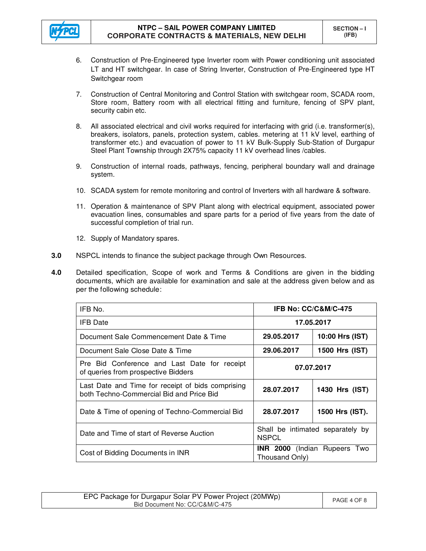

- 6. Construction of Pre-Engineered type Inverter room with Power conditioning unit associated LT and HT switchgear. In case of String Inverter, Construction of Pre-Engineered type HT Switchgear room
- 7. Construction of Central Monitoring and Control Station with switchgear room, SCADA room, Store room, Battery room with all electrical fitting and furniture, fencing of SPV plant, security cabin etc.
- 8. All associated electrical and civil works required for interfacing with grid (i.e. transformer(s), breakers, isolators, panels, protection system, cables. metering at 11 kV level, earthing of transformer etc.) and evacuation of power to 11 kV Bulk-Supply Sub-Station of Durgapur Steel Plant Township through 2X75% capacity 11 kV overhead lines /cables.
- 9. Construction of internal roads, pathways, fencing, peripheral boundary wall and drainage system.
- 10. SCADA system for remote monitoring and control of Inverters with all hardware & software.
- 11. Operation & maintenance of SPV Plant along with electrical equipment, associated power evacuation lines, consumables and spare parts for a period of five years from the date of successful completion of trial run.
- 12. Supply of Mandatory spares.
- **3.0** NSPCL intends to finance the subject package through Own Resources.
- **4.0** Detailed specification, Scope of work and Terms & Conditions are given in the bidding documents, which are available for examination and sale at the address given below and as per the following schedule:

| IFB No.                                                                                       | <b>IFB No: CC/C&amp;M/C-475</b>                  |                                     |
|-----------------------------------------------------------------------------------------------|--------------------------------------------------|-------------------------------------|
| <b>IFB</b> Date                                                                               | 17.05.2017                                       |                                     |
| Document Sale Commencement Date & Time                                                        | 29.05.2017                                       | 10:00 Hrs (IST)                     |
| Document Sale Close Date & Time                                                               | 29.06.2017                                       | 1500 Hrs (IST)                      |
| Pre Bid Conference and Last Date for receipt<br>of queries from prospective Bidders           | 07.07.2017                                       |                                     |
| Last Date and Time for receipt of bids comprising<br>both Techno-Commercial Bid and Price Bid | 28.07.2017                                       | 1430 Hrs (IST)                      |
| Date & Time of opening of Techno-Commercial Bid                                               | 28.07.2017                                       | 1500 Hrs (IST).                     |
| Date and Time of start of Reverse Auction                                                     | Shall be intimated separately by<br><b>NSPCL</b> |                                     |
| Cost of Bidding Documents in INR                                                              | Thousand Only)                                   | <b>INR 2000</b> (Indian Rupeers Two |

| EPC Package for Durgapur Solar PV Power Project (20MWp) | PAGE 4 OF 8 |
|---------------------------------------------------------|-------------|
| Bid Document No: CC/C&M/C-475                           |             |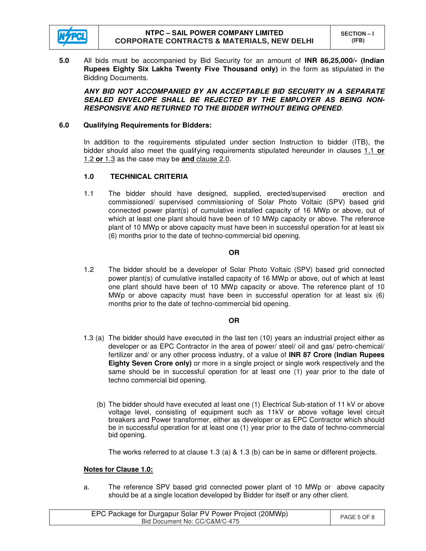

**5.0** All bids must be accompanied by Bid Security for an amount of **INR 86,25,000/- (Indian Rupees Eighty Six Lakhs Twenty Five Thousand only)** in the form as stipulated in the Bidding Documents.

 *ANY BID NOT ACCOMPANIED BY AN ACCEPTABLE BID SECURITY IN A SEPARATE SEALED ENVELOPE SHALL BE REJECTED BY THE EMPLOYER AS BEING NON-RESPONSIVE AND RETURNED TO THE BIDDER WITHOUT BEING OPENED*.

## **6.0 Qualifying Requirements for Bidders:**

In addition to the requirements stipulated under section Instruction to bidder (ITB), the bidder should also meet the qualifying requirements stipulated hereunder in clauses 1.1 **or** 1.2 **or** 1.3 as the case may be **and** clause 2.0.

# **1.0 TECHNICAL CRITERIA**

1.1 The bidder should have designed, supplied, erected/supervised erection and commissioned/ supervised commissioning of Solar Photo Voltaic (SPV) based grid connected power plant(s) of cumulative installed capacity of 16 MWp or above, out of which at least one plant should have been of 10 MWp capacity or above. The reference plant of 10 MWp or above capacity must have been in successful operation for at least six (6) months prior to the date of techno-commercial bid opening.

# **OR**

1.2 The bidder should be a developer of Solar Photo Voltaic (SPV) based grid connected power plant(s) of cumulative installed capacity of 16 MWp or above, out of which at least one plant should have been of 10 MWp capacity or above. The reference plant of 10 MWp or above capacity must have been in successful operation for at least six (6) months prior to the date of techno-commercial bid opening.

## **OR**

- 1.3 (a) The bidder should have executed in the last ten (10) years an industrial project either as developer or as EPC Contractor in the area of power/ steel/ oil and gas/ petro-chemical/ fertilizer and/ or any other process industry, of a value of **INR 87 Crore (Indian Rupees Eighty Seven Crore only)** or more in a single project or single work respectively and the same should be in successful operation for at least one (1) year prior to the date of techno commercial bid opening.
	- (b) The bidder should have executed at least one (1) Electrical Sub-station of 11 kV or above voltage level, consisting of equipment such as 11kV or above voltage level circuit breakers and Power transformer, either as developer or as EPC Contractor which should be in successful operation for at least one (1) year prior to the date of techno-commercial bid opening.

The works referred to at clause 1.3 (a) & 1.3 (b) can be in same or different projects.

## **Notes for Clause 1.0:**

a. The reference SPV based grid connected power plant of 10 MWp or above capacity should be at a single location developed by Bidder for itself or any other client.

| EPC Package for Durgapur Solar PV Power Project (20MWp)<br>Bid Document No: CC/C&M/C-475 | PAGE 5 OF 8 |
|------------------------------------------------------------------------------------------|-------------|
|------------------------------------------------------------------------------------------|-------------|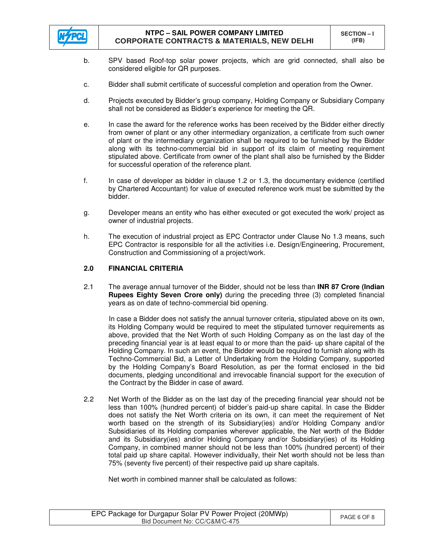

- b. SPV based Roof-top solar power projects, which are grid connected, shall also be considered eligible for QR purposes.
- c. Bidder shall submit certificate of successful completion and operation from the Owner.
- d. Projects executed by Bidder's group company, Holding Company or Subsidiary Company shall not be considered as Bidder's experience for meeting the QR.
- e. In case the award for the reference works has been received by the Bidder either directly from owner of plant or any other intermediary organization, a certificate from such owner of plant or the intermediary organization shall be required to be furnished by the Bidder along with its techno-commercial bid in support of its claim of meeting requirement stipulated above. Certificate from owner of the plant shall also be furnished by the Bidder for successful operation of the reference plant.
- f. In case of developer as bidder in clause 1.2 or 1.3, the documentary evidence (certified by Chartered Accountant) for value of executed reference work must be submitted by the bidder.
- g. Developer means an entity who has either executed or got executed the work/ project as owner of industrial projects.
- h. The execution of industrial project as EPC Contractor under Clause No 1.3 means, such EPC Contractor is responsible for all the activities i.e. Design/Engineering, Procurement, Construction and Commissioning of a project/work.

# **2.0 FINANCIAL CRITERIA**

2.1 The average annual turnover of the Bidder, should not be less than **INR 87 Crore (Indian Rupees Eighty Seven Crore only)** during the preceding three (3) completed financial years as on date of techno-commercial bid opening.

 In case a Bidder does not satisfy the annual turnover criteria, stipulated above on its own, its Holding Company would be required to meet the stipulated turnover requirements as above, provided that the Net Worth of such Holding Company as on the last day of the preceding financial year is at least equal to or more than the paid- up share capital of the Holding Company. In such an event, the Bidder would be required to furnish along with its Techno-Commercial Bid, a Letter of Undertaking from the Holding Company, supported by the Holding Company's Board Resolution, as per the format enclosed in the bid documents, pledging unconditional and irrevocable financial support for the execution of the Contract by the Bidder in case of award.

2.2 Net Worth of the Bidder as on the last day of the preceding financial year should not be less than 100% (hundred percent) of bidder's paid-up share capital. In case the Bidder does not satisfy the Net Worth criteria on its own, it can meet the requirement of Net worth based on the strength of its Subsidiary(ies) and/or Holding Company and/or Subsidiaries of its Holding companies wherever applicable, the Net worth of the Bidder and its Subsidiary(ies) and/or Holding Company and/or Subsidiary(ies) of its Holding Company, in combined manner should not be less than 100% (hundred percent) of their total paid up share capital. However individually, their Net worth should not be less than 75% (seventy five percent) of their respective paid up share capitals.

Net worth in combined manner shall be calculated as follows:

| EPC Package for Durgapur Solar PV Power Project (20MWp)<br>Bid Document No: CC/C&M/C-475 | PAGE 6 OF 8 |
|------------------------------------------------------------------------------------------|-------------|
|------------------------------------------------------------------------------------------|-------------|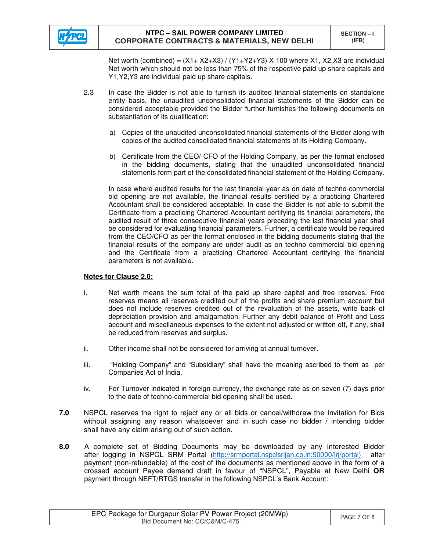

Net worth (combined) =  $(X1+X2+X3) / (Y1+Y2+Y3) X 100$  where X1, X2, X3 are individual Net worth which should not be less than 75% of the respective paid up share capitals and Y1,Y2,Y3 are individual paid up share capitals.

- 2.3 In case the Bidder is not able to furnish its audited financial statements on standalone entity basis, the unaudited unconsolidated financial statements of the Bidder can be considered acceptable provided the Bidder further furnishes the following documents on substantiation of its qualification:
	- a) Copies of the unaudited unconsolidated financial statements of the Bidder along with copies of the audited consolidated financial statements of its Holding Company.
	- b) Certificate from the CEO/ CFO of the Holding Company, as per the format enclosed in the bidding documents, stating that the unaudited unconsolidated financial statements form part of the consolidated financial statement of the Holding Company.

In case where audited results for the last financial year as on date of techno-commercial bid opening are not available, the financial results certified by a practicing Chartered Accountant shall be considered acceptable. In case the Bidder is not able to submit the Certificate from a practicing Chartered Accountant certifying its financial parameters, the audited result of three consecutive financial years preceding the last financial year shall be considered for evaluating financial parameters. Further, a certificate would be required from the CEO/CFO as per the format enclosed in the bidding documents stating that the financial results of the company are under audit as on techno commercial bid opening and the Certificate from a practicing Chartered Accountant certifying the financial parameters is not available.

## **Notes for Clause 2.0:**

- i. Net worth means the sum total of the paid up share capital and free reserves. Free reserves means all reserves credited out of the profits and share premium account but does not include reserves credited out of the revaluation of the assets, write back of depreciation provision and amalgamation. Further any debit balance of Profit and Loss account and miscellaneous expenses to the extent not adjusted or written off, if any, shall be reduced from reserves and surplus.
- ii. Other income shall not be considered for arriving at annual turnover.
- iii. "Holding Company" and "Subsidiary" shall have the meaning ascribed to them as per Companies Act of India.
- iv. For Turnover indicated in foreign currency, the exchange rate as on seven (7) days prior to the date of techno-commercial bid opening shall be used.
- **7.0** NSPCL reserves the right to reject any or all bids or cancel/withdraw the Invitation for Bids without assigning any reason whatsoever and in such case no bidder / intending bidder shall have any claim arising out of such action.
- **8.0** A complete set of Bidding Documents may be downloaded by any interested Bidder after logging in NSPCL SRM Portal (http://srmportal.nspclsrijan.co.in:50000/irj/portal) after payment (non-refundable) of the cost of the documents as mentioned above in the form of a crossed account Payee demand draft in favour of "NSPCL", Payable at New Delhi **OR** payment through NEFT/RTGS transfer in the following NSPCL's Bank Account:

| EPC Package for Durgapur Solar PV Power Project (20MWp)<br>Bid Document No: CC/C&M/C-475 | PAGE 7 OF 8 |
|------------------------------------------------------------------------------------------|-------------|
|                                                                                          |             |